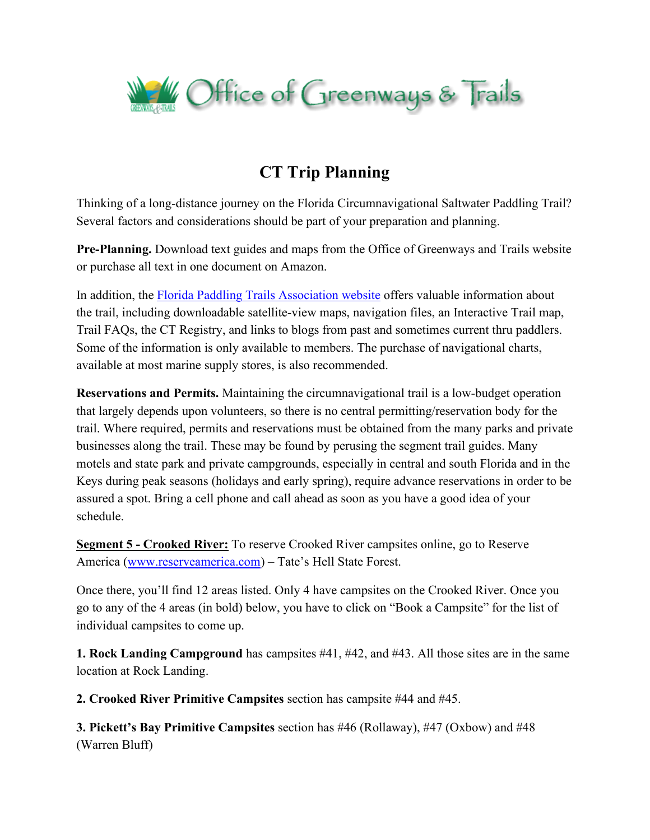

## **CT Trip Planning**

Thinking of a long-distance journey on the Florida Circumnavigational Saltwater Paddling Trail? Several factors and considerations should be part of your preparation and planning.

**Pre-Planning.** Download text guides and maps from the Office of Greenways and Trails website or purchase all text in one document on Amazon.

In addition, the [Florida Paddling Trails Association website](https://www.floridapaddlingtrails.com/circumnavigational-trail) offers valuable information about the trail, including downloadable satellite-view maps, navigation files, an Interactive Trail map, Trail FAQs, the CT Registry, and links to blogs from past and sometimes current thru paddlers. Some of the information is only available to members. The purchase of navigational charts, available at most marine supply stores, is also recommended.

**Reservations and Permits.** Maintaining the circumnavigational trail is a low-budget operation that largely depends upon volunteers, so there is no central permitting/reservation body for the trail. Where required, permits and reservations must be obtained from the many parks and private businesses along the trail. These may be found by perusing the segment trail guides. Many motels and state park and private campgrounds, especially in central and south Florida and in the Keys during peak seasons (holidays and early spring), require advance reservations in order to be assured a spot. Bring a cell phone and call ahead as soon as you have a good idea of your schedule.

**Segment 5 - Crooked River:** To reserve Crooked River campsites online, go to Reserve America [\(www.reserveamerica.com\)](http://www.reserveamerica.com/) – Tate's Hell State Forest.

Once there, you'll find 12 areas listed. Only 4 have campsites on the Crooked River. Once you go to any of the 4 areas (in bold) below, you have to click on "Book a Campsite" for the list of individual campsites to come up.

**1. Rock Landing Campground** has campsites #41, #42, and #43. All those sites are in the same location at Rock Landing.

**2. Crooked River Primitive Campsites** section has campsite #44 and #45.

**3. Pickett's Bay Primitive Campsites** section has #46 (Rollaway), #47 (Oxbow) and #48 (Warren Bluff)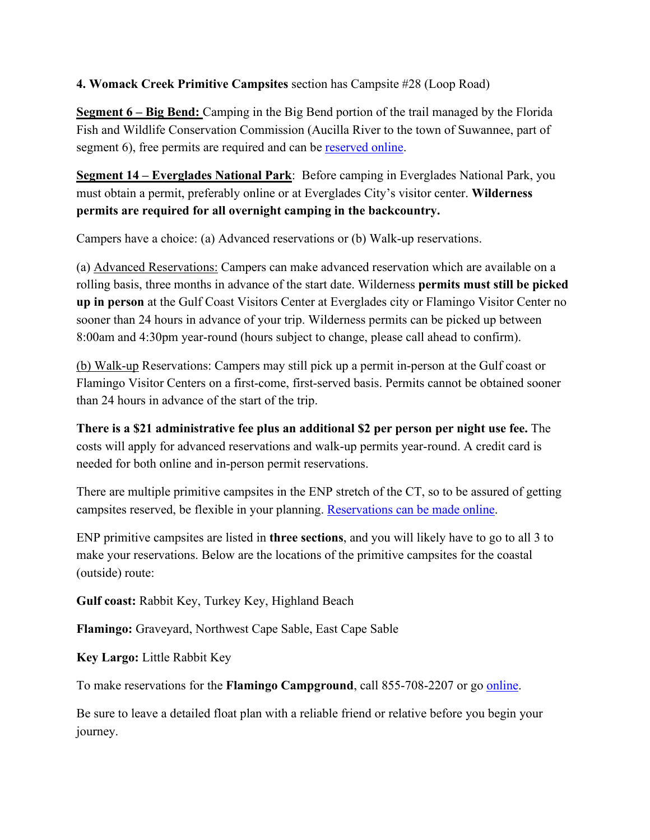**4. Womack Creek Primitive Campsites** section has Campsite #28 (Loop Road)

**Segment 6 – Big Bend:** Camping in the Big Bend portion of the trail managed by the Florida Fish and Wildlife Conservation Commission (Aucilla River to the town of Suwannee, part of segment 6), free permits are required and can be [reserved online.](https://myfwc.com/recreation/lead/big-bend/paddling-trail/camping-permits/)

**Segment 14 – Everglades National Park**: Before camping in Everglades National Park, you must obtain a permit, preferably online or at Everglades City's visitor center. **Wilderness permits are required for all overnight camping in the backcountry.**

Campers have a choice: (a) Advanced reservations or (b) Walk-up reservations.

(a) Advanced Reservations: Campers can make advanced reservation which are available on a rolling basis, three months in advance of the start date. Wilderness **permits must still be picked up in person** at the Gulf Coast Visitors Center at Everglades city or Flamingo Visitor Center no sooner than 24 hours in advance of your trip. Wilderness permits can be picked up between 8:00am and 4:30pm year-round (hours subject to change, please call ahead to confirm).

(b) Walk-up Reservations: Campers may still pick up a permit in-person at the Gulf coast or Flamingo Visitor Centers on a first-come, first-served basis. Permits cannot be obtained sooner than 24 hours in advance of the start of the trip.

**There is a \$21 administrative fee plus an additional \$2 per person per night use fee.** The costs will apply for advanced reservations and walk-up permits year-round. A credit card is needed for both online and in-person permit reservations.

There are multiple primitive campsites in the ENP stretch of the CT, so to be assured of getting campsites reserved, be flexible in your planning. [Reservations can be made online.](https://www.recreation.gov/permits/4675314/registration/detailed-availability?date=2022-01-22)

ENP primitive campsites are listed in **three sections**, and you will likely have to go to all 3 to make your reservations. Below are the locations of the primitive campsites for the coastal (outside) route:

**Gulf coast:** Rabbit Key, Turkey Key, Highland Beach

**Flamingo:** Graveyard, Northwest Cape Sable, East Cape Sable

**Key Largo:** Little Rabbit Key

To make reservations for the **Flamingo Campground**, call 855-708-2207 or go [online.](https://www.nps.gov/ever/planyourvisit/flamdirections.htm)

Be sure to leave a detailed float plan with a reliable friend or relative before you begin your journey.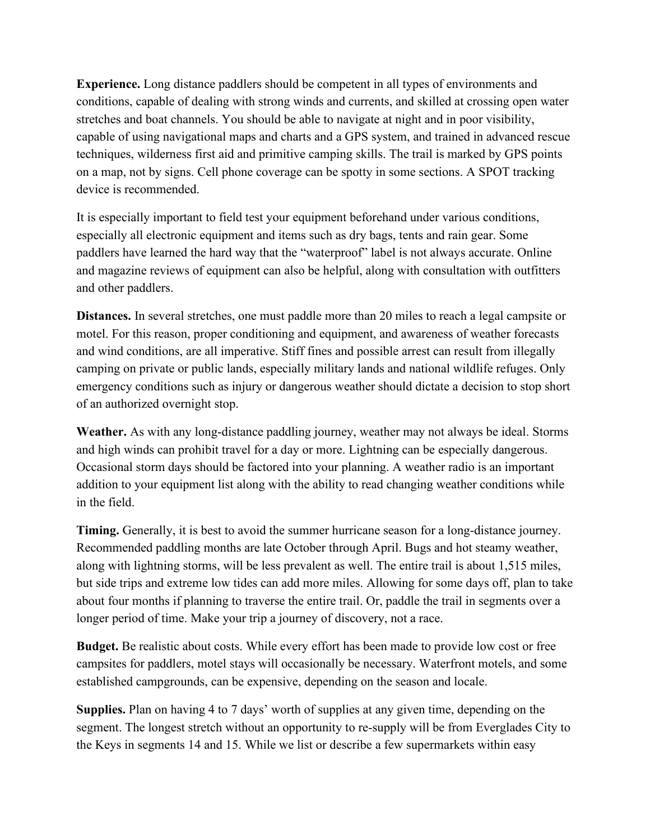**Experience.** Long distance paddlers should be competent in all types of environments and conditions, capable of dealing with strong winds and currents, and skilled at crossing open water stretches and boat channels. You should be able to navigate at night and in poor visibility, capable of using navigational maps and charts and a GPS system, and trained in advanced rescue techniques, wilderness first aid and primitive camping skills. The trail is marked by GPS points on a map, not by signs. Cell phone coverage can be spotty in some sections. A SPOT tracking device is recommended.

It is especially important to field test your equipment beforehand under various conditions, especially all electronic equipment and items such as dry bags, tents and rain gear. Some paddlers have learned the hard way that the "waterproof" label is not always accurate. Online and magazine reviews of equipment can also be helpful, along with consultation with outfitters and other paddlers.

**Distances.** In several stretches, one must paddle more than 20 miles to reach a legal campsite or motel. For this reason, proper conditioning and equipment, and awareness of weather forecasts and wind conditions, are all imperative. Stiff fines and possible arrest can result from illegally camping on private or public lands, especially military lands and national wildlife refuges. Only emergency conditions such as injury or dangerous weather should dictate a decision to stop short of an authorized overnight stop.

**Weather.** As with any long-distance paddling journey, weather may not always be ideal. Storms and high winds can prohibit travel for a day or more. Lightning can be especially dangerous. Occasional storm days should be factored into your planning. A weather radio is an important addition to your equipment list along with the ability to read changing weather conditions while in the field.

**Timing.** Generally, it is best to avoid the summer hurricane season for a long-distance journey. Recommended paddling months are late October through April. Bugs and hot steamy weather, along with lightning storms, will be less prevalent as well. The entire trail is about 1,515 miles, but side trips and extreme low tides can add more miles. Allowing for some days off, plan to take about four months if planning to traverse the entire trail. Or, paddle the trail in segments over a longer period of time. Make your trip a journey of discovery, not a race.

**Budget.** Be realistic about costs. While every effort has been made to provide low cost or free campsites for paddlers, motel stays will occasionally be necessary. Waterfront motels, and some established campgrounds, can be expensive, depending on the season and locale.

**Supplies.** Plan on having 4 to 7 days' worth of supplies at any given time, depending on the segment. The longest stretch without an opportunity to re-supply will be from Everglades City to the Keys in segments 14 and 15. While we list or describe a few supermarkets within easy